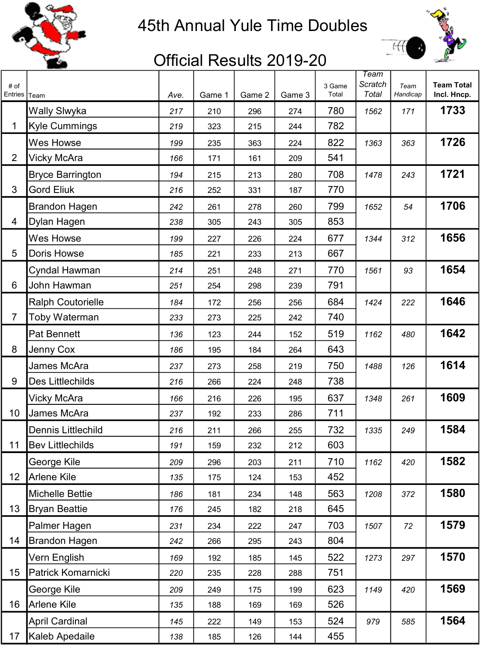

## 45th Annual Yule Time Doubles



## Official Results 2019-20

| # of<br>Entries | Team                     | Ave. | Game 1 | Game 2 | Game 3 | 3 Game<br>Total | <b>Team</b><br>Scratch<br>Total | Team<br>Handicap | <b>Team Total</b><br>Incl. Hncp. |
|-----------------|--------------------------|------|--------|--------|--------|-----------------|---------------------------------|------------------|----------------------------------|
|                 | <b>Wally Slwyka</b>      | 217  | 210    | 296    | 274    | 780             | 1562                            | 171              | 1733                             |
| 1               | <b>Kyle Cummings</b>     | 219  | 323    | 215    | 244    | 782             |                                 |                  |                                  |
|                 | Wes Howse                | 199  | 235    | 363    | 224    | 822             | 1363                            | 363              | 1726                             |
| $\overline{2}$  | Vicky McAra              | 166  | 171    | 161    | 209    | 541             |                                 |                  |                                  |
|                 | <b>Bryce Barrington</b>  | 194  | 215    | 213    | 280    | 708             | 1478                            | 243              | 1721                             |
| 3               | <b>Gord Eliuk</b>        | 216  | 252    | 331    | 187    | 770             |                                 |                  |                                  |
|                 | <b>Brandon Hagen</b>     | 242  | 261    | 278    | 260    | 799             | 1652                            | 54               | 1706                             |
| 4               | Dylan Hagen              | 238  | 305    | 243    | 305    | 853             |                                 |                  |                                  |
|                 | <b>Wes Howse</b>         | 199  | 227    | 226    | 224    | 677             | 1344                            | 312              | 1656                             |
| 5               | Doris Howse              | 185  | 221    | 233    | 213    | 667             |                                 |                  |                                  |
|                 | Cyndal Hawman            | 214  | 251    | 248    | 271    | 770             | 1561                            | 93               | 1654                             |
| 6               | John Hawman              | 251  | 254    | 298    | 239    | 791             |                                 |                  |                                  |
|                 | <b>Ralph Coutorielle</b> | 184  | 172    | 256    | 256    | 684             | 1424                            | 222              | 1646                             |
| 7               | Toby Waterman            | 233  | 273    | 225    | 242    | 740             |                                 |                  |                                  |
|                 | <b>Pat Bennett</b>       | 136  | 123    | 244    | 152    | 519             | 1162                            | 480              | 1642                             |
| 8               | Jenny Cox                | 186  | 195    | 184    | 264    | 643             |                                 |                  |                                  |
|                 | James McAra              | 237  | 273    | 258    | 219    | 750             | 1488                            | 126              | 1614                             |
| 9               | Des Littlechilds         | 216  | 266    | 224    | 248    | 738             |                                 |                  |                                  |
|                 | Vicky McAra              | 166  | 216    | 226    | 195    | 637             | 1348                            | 261              | 1609                             |
| 10              | James McAra              | 237  | 192    | 233    | 286    | 711             |                                 |                  |                                  |
|                 | Dennis Littlechild       | 216  | 211    | 266    | 255    | 732             | 1335                            | 249              | 1584                             |
| 11              | <b>Bev Littlechilds</b>  | 191  | 159    | 232    | 212    | 603             |                                 |                  |                                  |
|                 | George Kile              | 209  | 296    | 203    | 211    | 710             | 1162                            | 420              | 1582                             |
| 12              | Arlene Kile              | 135  | 175    | 124    | 153    | 452             |                                 |                  |                                  |
|                 | <b>Michelle Bettie</b>   | 186  | 181    | 234    | 148    | 563             | 1208                            | 372              | 1580                             |
| 13              | <b>Bryan Beattie</b>     | 176  | 245    | 182    | 218    | 645             |                                 |                  |                                  |
|                 | Palmer Hagen             | 231  | 234    | 222    | 247    | 703             | 1507                            | 72               | 1579                             |
| 14              | <b>Brandon Hagen</b>     | 242  | 266    | 295    | 243    | 804             |                                 |                  |                                  |
|                 | Vern English             | 169  | 192    | 185    | 145    | 522             | 1273                            | 297              | 1570                             |
| 15              | Patrick Komarnicki       | 220  | 235    | 228    | 288    | 751             |                                 |                  |                                  |
|                 | George Kile              | 209  | 249    | 175    | 199    | 623             | 1149                            | 420              | 1569                             |
| 16              | <b>Arlene Kile</b>       | 135  | 188    | 169    | 169    | 526             |                                 |                  |                                  |
|                 | <b>April Cardinal</b>    | 145  | 222    | 149    | 153    | 524             | 979                             | 585              | 1564                             |
| 17              | Kaleb Apedaile           | 138  | 185    | 126    | 144    | 455             |                                 |                  |                                  |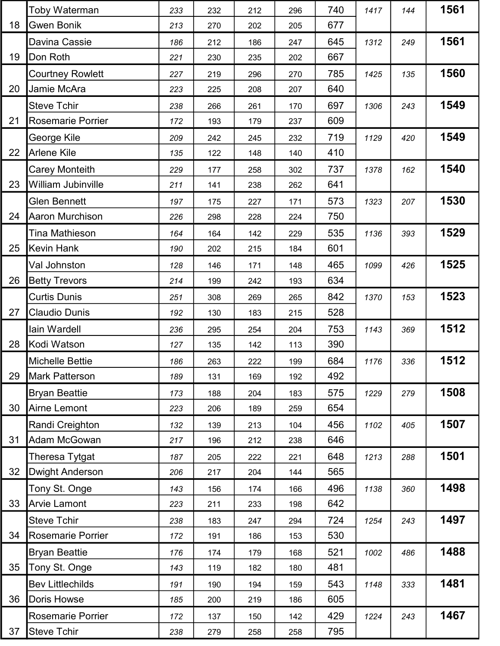|    | Toby Waterman            | 233 | 232 | 212 | 296 | 740 | 1417 | 144 | 1561 |
|----|--------------------------|-----|-----|-----|-----|-----|------|-----|------|
| 18 | <b>Gwen Bonik</b>        | 213 | 270 | 202 | 205 | 677 |      |     |      |
|    | Davina Cassie            | 186 | 212 | 186 | 247 | 645 | 1312 | 249 | 1561 |
| 19 | Don Roth                 | 221 | 230 | 235 | 202 | 667 |      |     |      |
|    | <b>Courtney Rowlett</b>  | 227 | 219 | 296 | 270 | 785 | 1425 | 135 | 1560 |
| 20 | Jamie McAra              | 223 | 225 | 208 | 207 | 640 |      |     |      |
|    | <b>Steve Tchir</b>       | 238 | 266 | 261 | 170 | 697 | 1306 | 243 | 1549 |
| 21 | <b>Rosemarie Porrier</b> | 172 | 193 | 179 | 237 | 609 |      |     |      |
|    | George Kile              | 209 | 242 | 245 | 232 | 719 | 1129 | 420 | 1549 |
| 22 | Arlene Kile              | 135 | 122 | 148 | 140 | 410 |      |     |      |
|    | <b>Carey Monteith</b>    | 229 | 177 | 258 | 302 | 737 | 1378 | 162 | 1540 |
| 23 | William Jubinville       | 211 | 141 | 238 | 262 | 641 |      |     |      |
|    | <b>Glen Bennett</b>      | 197 | 175 | 227 | 171 | 573 | 1323 | 207 | 1530 |
| 24 | Aaron Murchison          | 226 | 298 | 228 | 224 | 750 |      |     |      |
|    | Tina Mathieson           | 164 | 164 | 142 | 229 | 535 | 1136 | 393 | 1529 |
| 25 | <b>Kevin Hank</b>        | 190 | 202 | 215 | 184 | 601 |      |     |      |
|    | Val Johnston             | 128 | 146 | 171 | 148 | 465 | 1099 | 426 | 1525 |
| 26 | <b>Betty Trevors</b>     | 214 | 199 | 242 | 193 | 634 |      |     |      |
|    | <b>Curtis Dunis</b>      | 251 | 308 | 269 | 265 | 842 | 1370 | 153 | 1523 |
| 27 | <b>Claudio Dunis</b>     | 192 | 130 | 183 | 215 | 528 |      |     |      |
|    | lain Wardell             | 236 | 295 | 254 | 204 | 753 | 1143 | 369 | 1512 |
| 28 | Kodi Watson              | 127 | 135 | 142 | 113 | 390 |      |     |      |
|    | <b>Michelle Bettie</b>   | 186 | 263 | 222 | 199 | 684 | 1176 | 336 | 1512 |
| 29 | Mark Patterson           | 189 | 131 | 169 | 192 | 492 |      |     |      |
|    | <b>Bryan Beattie</b>     | 173 | 188 | 204 | 183 | 575 | 1229 | 279 | 1508 |
| 30 | Airne Lemont             | 223 | 206 | 189 | 259 | 654 |      |     |      |
|    | Randi Creighton          | 132 | 139 | 213 | 104 | 456 | 1102 | 405 | 1507 |
| 31 | <b>Adam McGowan</b>      | 217 | 196 | 212 | 238 | 646 |      |     |      |
|    | Theresa Tytgat           | 187 | 205 | 222 | 221 | 648 | 1213 | 288 | 1501 |
| 32 | <b>Dwight Anderson</b>   | 206 | 217 | 204 | 144 | 565 |      |     |      |
|    | Tony St. Onge            | 143 | 156 | 174 | 166 | 496 | 1138 | 360 | 1498 |
| 33 | <b>Arvie Lamont</b>      | 223 | 211 | 233 | 198 | 642 |      |     |      |
|    | <b>Steve Tchir</b>       | 238 | 183 | 247 | 294 | 724 | 1254 | 243 | 1497 |
| 34 | <b>Rosemarie Porrier</b> | 172 | 191 | 186 | 153 | 530 |      |     |      |
|    | <b>Bryan Beattie</b>     | 176 | 174 | 179 | 168 | 521 | 1002 | 486 | 1488 |
| 35 | Tony St. Onge            | 143 | 119 | 182 | 180 | 481 |      |     |      |
|    | <b>Bev Littlechilds</b>  | 191 | 190 | 194 | 159 | 543 | 1148 | 333 | 1481 |
| 36 | Doris Howse              | 185 | 200 | 219 | 186 | 605 |      |     |      |
|    | <b>Rosemarie Porrier</b> | 172 | 137 | 150 | 142 | 429 | 1224 | 243 | 1467 |
| 37 | <b>Steve Tchir</b>       | 238 | 279 | 258 | 258 | 795 |      |     |      |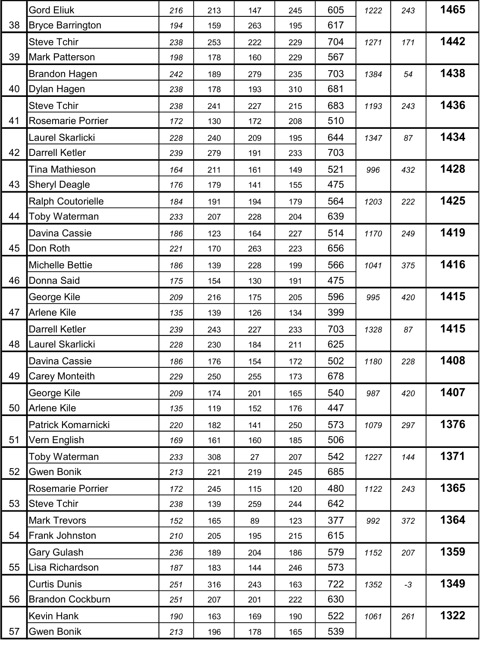|    | <b>Gord Eliuk</b>        | 216 | 213 | 147 | 245 | 605 | 1222 | 243  | 1465 |
|----|--------------------------|-----|-----|-----|-----|-----|------|------|------|
| 38 | <b>Bryce Barrington</b>  | 194 | 159 | 263 | 195 | 617 |      |      |      |
|    | <b>Steve Tchir</b>       | 238 | 253 | 222 | 229 | 704 | 1271 | 171  | 1442 |
| 39 | Mark Patterson           | 198 | 178 | 160 | 229 | 567 |      |      |      |
|    | <b>Brandon Hagen</b>     | 242 | 189 | 279 | 235 | 703 | 1384 | 54   | 1438 |
| 40 | Dylan Hagen              | 238 | 178 | 193 | 310 | 681 |      |      |      |
|    | <b>Steve Tchir</b>       | 238 | 241 | 227 | 215 | 683 | 1193 | 243  | 1436 |
| 41 | Rosemarie Porrier        | 172 | 130 | 172 | 208 | 510 |      |      |      |
|    | Laurel Skarlicki         | 228 | 240 | 209 | 195 | 644 | 1347 | 87   | 1434 |
| 42 | <b>Darrell Ketler</b>    | 239 | 279 | 191 | 233 | 703 |      |      |      |
|    | <b>Tina Mathieson</b>    | 164 | 211 | 161 | 149 | 521 | 996  | 432  | 1428 |
| 43 | <b>Sheryl Deagle</b>     | 176 | 179 | 141 | 155 | 475 |      |      |      |
|    | <b>Ralph Coutorielle</b> | 184 | 191 | 194 | 179 | 564 | 1203 | 222  | 1425 |
| 44 | Toby Waterman            | 233 | 207 | 228 | 204 | 639 |      |      |      |
|    | Davina Cassie            | 186 | 123 | 164 | 227 | 514 | 1170 | 249  | 1419 |
| 45 | Don Roth                 | 221 | 170 | 263 | 223 | 656 |      |      |      |
|    | Michelle Bettie          | 186 | 139 | 228 | 199 | 566 | 1041 | 375  | 1416 |
| 46 | Donna Said               | 175 | 154 | 130 | 191 | 475 |      |      |      |
|    | George Kile              | 209 | 216 | 175 | 205 | 596 | 995  | 420  | 1415 |
| 47 | Arlene Kile              | 135 | 139 | 126 | 134 | 399 |      |      |      |
|    | <b>Darrell Ketler</b>    | 239 | 243 | 227 | 233 | 703 | 1328 | 87   | 1415 |
| 48 | Laurel Skarlicki         | 228 | 230 | 184 | 211 | 625 |      |      |      |
|    | Davina Cassie            | 186 | 176 | 154 | 172 | 502 | 1180 | 228  | 1408 |
| 49 | Carey Monteith           | 229 | 250 | 255 | 173 | 678 |      |      |      |
|    | George Kile              | 209 | 174 | 201 | 165 | 540 | 987  | 420  | 1407 |
| 50 | Arlene Kile              | 135 | 119 | 152 | 176 | 447 |      |      |      |
|    | Patrick Komarnicki       | 220 | 182 | 141 | 250 | 573 | 1079 | 297  | 1376 |
| 51 | Vern English             | 169 | 161 | 160 | 185 | 506 |      |      |      |
|    | Toby Waterman            | 233 | 308 | 27  | 207 | 542 | 1227 | 144  | 1371 |
| 52 | <b>Gwen Bonik</b>        | 213 | 221 | 219 | 245 | 685 |      |      |      |
|    | <b>Rosemarie Porrier</b> | 172 | 245 | 115 | 120 | 480 | 1122 | 243  | 1365 |
| 53 | <b>Steve Tchir</b>       | 238 | 139 | 259 | 244 | 642 |      |      |      |
|    | <b>Mark Trevors</b>      | 152 | 165 | 89  | 123 | 377 | 992  | 372  | 1364 |
| 54 | Frank Johnston           | 210 | 205 | 195 | 215 | 615 |      |      |      |
|    | <b>Gary Gulash</b>       | 236 | 189 | 204 | 186 | 579 | 1152 | 207  | 1359 |
| 55 | Lisa Richardson          | 187 | 183 | 144 | 246 | 573 |      |      |      |
|    | <b>Curtis Dunis</b>      | 251 | 316 | 243 | 163 | 722 | 1352 | $-3$ | 1349 |
| 56 | <b>Brandon Cockburn</b>  | 251 | 207 | 201 | 222 | 630 |      |      |      |
|    | <b>Kevin Hank</b>        | 190 | 163 | 169 | 190 | 522 | 1061 | 261  | 1322 |
| 57 | <b>Gwen Bonik</b>        | 213 | 196 | 178 | 165 | 539 |      |      |      |